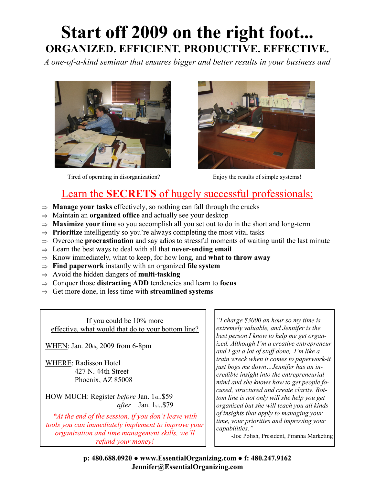# **Start off 2009 on the right foot... ORGANIZED. EFFICIENT. PRODUCTIVE. EFFECTIVE.**

*A one-of-a-kind seminar that ensures bigger and better results in your business and* 



Tired of operating in disorganization? Enjoy the results of simple systems!



### Learn the **SECRETS** of hugely successful professionals:

- $\Rightarrow$  **Manage your tasks** effectively, so nothing can fall through the cracks
- Maintain an **organized office** and actually see your desktop
- $\Rightarrow$  **Maximize your time** so you accomplish all you set out to do in the short and long-term
- $\Rightarrow$  **Prioritize** intelligently so you're always completing the most vital tasks
- $\Rightarrow$  Overcome **procrastination** and say adios to stressful moments of waiting until the last minute
- $\Rightarrow$  Learn the best ways to deal with all that **never-ending email**
- $\Rightarrow$  Know immediately, what to keep, for how long, and **what to throw away**
- **Find paperwork** instantly with an organized **file system**
- $\Rightarrow$  Avoid the hidden dangers of **multi-tasking**
- $\Rightarrow$  Conquer those **distracting ADD** tendencies and learn to **focus**
- $\Rightarrow$  Get more done, in less time with **streamlined systems**

If you could be 10% more effective, what would that do to your bottom line?

WHEN: Jan. 20th, 2009 from 6-8pm

WHERE: Radisson Hotel 427 N. 44th Street Phoenix, AZ 85008

HOW MUCH: Register *before* Jan. 1st..\$59 *after* Jan. 1st..\$79

*\*At the end of the session, if you don't leave with tools you can immediately implement to improve your organization and time management skills, we'll refund your money!*

*"I charge \$3000 an hour so my time is extremely valuable, and Jennifer is the best person I know to help me get organized. Although I'm a creative entrepreneur and I get a lot of stuff done, I'm like a train wreck when it comes to paperwork-it just bogs me down…Jennifer has an incredible insight into the entrepreneurial mind and she knows how to get people focused, structured and create clarity. Bottom line is not only will she help you get organized but she will teach you all kinds of insights that apply to managing your time, your priorities and improving your capabilities."*

-Joe Polish, President, Piranha Marketing